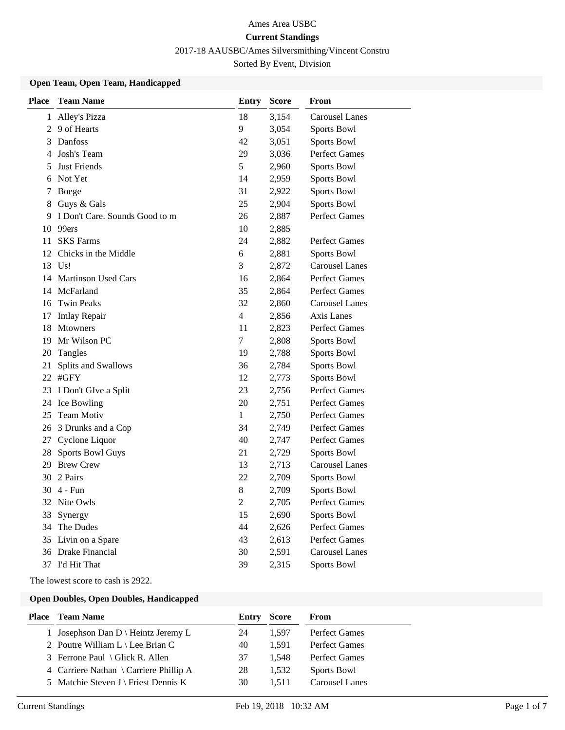2017-18 AAUSBC/Ames Silversmithing/Vincent Constru

Sorted By Event, Division

#### **Open Team, Open Team, Handicapped**

| <b>Place</b> | <b>Team Name</b>               | <b>Entry</b>   | <b>Score</b> | From                  |
|--------------|--------------------------------|----------------|--------------|-----------------------|
|              | 1 Alley's Pizza                | 18             | 3,154        | <b>Carousel Lanes</b> |
|              | 2 9 of Hearts                  | 9              | 3,054        | <b>Sports Bowl</b>    |
| 3            | Danfoss                        | 42             | 3,051        | <b>Sports Bowl</b>    |
| 4            | Josh's Team                    | 29             | 3,036        | <b>Perfect Games</b>  |
| 5            | <b>Just Friends</b>            | 5              | 2,960        | <b>Sports Bowl</b>    |
| 6            | Not Yet                        | 14             | 2,959        | Sports Bowl           |
| 7            | Boege                          | 31             | 2,922        | <b>Sports Bowl</b>    |
| 8            | Guys & Gals                    | 25             | 2,904        | <b>Sports Bowl</b>    |
| 9            | I Don't Care. Sounds Good to m | 26             | 2,887        | <b>Perfect Games</b>  |
| 10           | 99ers                          | 10             | 2,885        |                       |
| 11           | <b>SKS</b> Farms               | 24             | 2,882        | Perfect Games         |
| 12           | Chicks in the Middle           | 6              | 2,881        | <b>Sports Bowl</b>    |
| 13           | Us!                            | 3              | 2,872        | <b>Carousel Lanes</b> |
|              | 14 Martinson Used Cars         | 16             | 2,864        | <b>Perfect Games</b>  |
|              | 14 McFarland                   | 35             | 2,864        | Perfect Games         |
|              | 16 Twin Peaks                  | 32             | 2,860        | <b>Carousel Lanes</b> |
| 17           | <b>Imlay Repair</b>            | 4              | 2,856        | Axis Lanes            |
| 18           | Mtowners                       | 11             | 2,823        | Perfect Games         |
|              | 19 Mr Wilson PC                | 7              | 2,808        | Sports Bowl           |
| 20           | Tangles                        | 19             | 2,788        | <b>Sports Bowl</b>    |
| 21           | Splits and Swallows            | 36             | 2,784        | Sports Bowl           |
|              | 22 #GFY                        | 12             | 2,773        | Sports Bowl           |
|              | 23 I Don't GIve a Split        | 23             | 2,756        | Perfect Games         |
|              | 24 Ice Bowling                 | 20             | 2,751        | Perfect Games         |
| 25           | Team Motiv                     | 1              | 2,750        | Perfect Games         |
|              | 26 3 Drunks and a Cop          | 34             | 2,749        | Perfect Games         |
|              | 27 Cyclone Liquor              | 40             | 2,747        | <b>Perfect Games</b>  |
| 28           | <b>Sports Bowl Guys</b>        | 21             | 2,729        | Sports Bowl           |
|              | 29 Brew Crew                   | 13             | 2,713        | <b>Carousel Lanes</b> |
|              | 30 2 Pairs                     | 22             | 2,709        | <b>Sports Bowl</b>    |
|              | 30 4 - Fun                     | 8              | 2,709        | <b>Sports Bowl</b>    |
|              | 32 Nite Owls                   | $\overline{2}$ | 2,705        | <b>Perfect Games</b>  |
| 33           | Synergy                        | 15             | 2,690        | <b>Sports Bowl</b>    |
|              | 34 The Dudes                   | 44             | 2,626        | Perfect Games         |
|              | 35 Livin on a Spare            | 43             | 2,613        | <b>Perfect Games</b>  |
|              | 36 Drake Financial             | 30             | 2,591        | Carousel Lanes        |
|              | 37 I'd Hit That                | 39             | 2,315        | Sports Bowl           |

The lowest score to cash is 2922.

## **Open Doubles, Open Doubles, Handicapped**

| <b>Place</b> Team Name                         | <b>Entry Score</b> |       | From           |
|------------------------------------------------|--------------------|-------|----------------|
| 1 Josephson Dan $D \setminus$ Heintz Jeremy L  | 24                 | 1.597 | Perfect Games  |
| 2 Poutre William $L \setminus$ Lee Brian C     | 40                 | 1.591 | Perfect Games  |
| 3 Ferrone Paul \ Glick R. Allen                | 37                 | 1.548 | Perfect Games  |
| 4 Carriere Nathan \ Carriere Phillip A         | 28                 | 1.532 | Sports Bowl    |
| 5 Matchie Steven $J \setminus$ Friest Dennis K | 30                 | 1.511 | Carousel Lanes |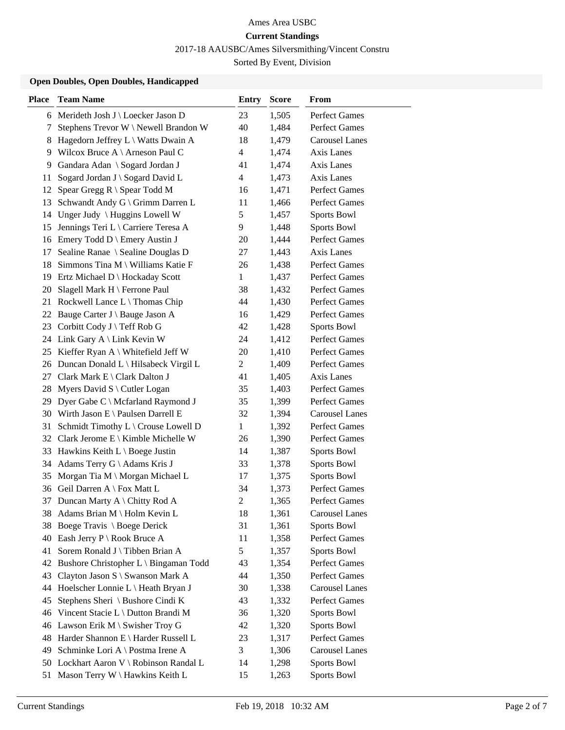2017-18 AAUSBC/Ames Silversmithing/Vincent Constru

Sorted By Event, Division

### **Open Doubles, Open Doubles, Handicapped**

| <b>Place</b> | <b>Team Name</b>                                                            | <b>Entry</b>   | <b>Score</b>   | From                               |
|--------------|-----------------------------------------------------------------------------|----------------|----------------|------------------------------------|
|              | 6 Merideth Josh J \ Loecker Jason D                                         | 23             | 1,505          | Perfect Games                      |
| 7            | Stephens Trevor W \ Newell Brandon W                                        | 40             | 1,484          | Perfect Games                      |
| 8            | Hagedorn Jeffrey L \ Watts Dwain A                                          | 18             | 1,479          | <b>Carousel Lanes</b>              |
| 9            | Wilcox Bruce A \ Arneson Paul C                                             | $\overline{4}$ | 1,474          | Axis Lanes                         |
| 9            | Gandara Adan \ Sogard Jordan J                                              | 41             | 1,474          | Axis Lanes                         |
| 11           | Sogard Jordan J \ Sogard David L                                            | $\overline{4}$ | 1,473          | Axis Lanes                         |
| 12           | Spear Gregg $R \setminus$ Spear Todd M                                      | 16             | 1,471          | Perfect Games                      |
| 13           | Schwandt Andy G \ Grimm Darren L                                            | 11             | 1,466          | Perfect Games                      |
| 14           | Unger Judy $\langle$ Huggins Lowell W                                       | 5              | 1,457          | Sports Bowl                        |
| 15           | Jennings Teri L \ Carriere Teresa A                                         | 9              | 1,448          | <b>Sports Bowl</b>                 |
|              | 16 Emery Todd D \ Emery Austin J                                            | 20             | 1,444          | <b>Perfect Games</b>               |
| 17           | Sealine Ranae \ Sealine Douglas D                                           | 27             | 1,443          | Axis Lanes                         |
| 18           | Simmons Tina M \ Williams Katie F                                           | 26             | 1,438          | <b>Perfect Games</b>               |
| 19           | Ertz Michael D \ Hockaday Scott                                             | $\mathbf{1}$   | 1,437          | <b>Perfect Games</b>               |
| 20           | Slagell Mark H \ Ferrone Paul                                               | 38             | 1,432          | Perfect Games                      |
|              | 21 Rockwell Lance L \ Thomas Chip                                           | 44             | 1,430          | Perfect Games                      |
| 22           | Bauge Carter J \ Bauge Jason A                                              | 16             | 1,429          | <b>Perfect Games</b>               |
| 23           | Corbitt Cody J \ Teff Rob G                                                 | 42             | 1,428          | Sports Bowl                        |
|              | 24 Link Gary A \ Link Kevin W                                               | 24             | 1,412          | <b>Perfect Games</b>               |
|              | 25 Kieffer Ryan A \ Whitefield Jeff W                                       | 20             | 1,410          | <b>Perfect Games</b>               |
|              | 26 Duncan Donald L \ Hilsabeck Virgil L                                     | $\overline{2}$ | 1,409          | <b>Perfect Games</b>               |
| 27           | Clark Mark E \ Clark Dalton J                                               | 41             | 1,405          | Axis Lanes<br><b>Perfect Games</b> |
| 28<br>29     | Myers David $S \setminus$ Cutler Logan<br>Dyer Gabe C \ Mcfarland Raymond J | 35             | 1,403<br>1,399 | Perfect Games                      |
|              | 30 Wirth Jason E \ Paulsen Darrell E                                        | 35<br>32       | 1,394          | <b>Carousel Lanes</b>              |
| 31           | Schmidt Timothy L \ Crouse Lowell D                                         | $\mathbf{1}$   | 1,392          | <b>Perfect Games</b>               |
|              | 32 Clark Jerome E \ Kimble Michelle W                                       | 26             | 1,390          | <b>Perfect Games</b>               |
|              | 33 Hawkins Keith L \ Boege Justin                                           | 14             | 1,387          | Sports Bowl                        |
|              | 34 Adams Terry G \ Adams Kris J                                             | 33             | 1,378          | Sports Bowl                        |
| 35           | Morgan Tia M \ Morgan Michael L                                             | 17             | 1,375          | Sports Bowl                        |
|              | 36 Geil Darren A \ Fox Matt L                                               | 34             | 1,373          | <b>Perfect Games</b>               |
| 37           | Duncan Marty A \ Chitty Rod A                                               | $\overline{c}$ | 1,365          | <b>Perfect Games</b>               |
|              | 38 Adams Brian M \ Holm Kevin L                                             | 18             | 1,361          | <b>Carousel Lanes</b>              |
| 38           | Boege Travis \ Boege Derick                                                 | 31             | 1,361          | <b>Sports Bowl</b>                 |
| 40           | Eash Jerry $P \setminus \text{Root}$ Bruce A                                | 11             | 1,358          | Perfect Games                      |
| 41           | Sorem Ronald J \ Tibben Brian A                                             | 5              | 1,357          | Sports Bowl                        |
| 42           | Bushore Christopher L \ Bingaman Todd                                       | 43             | 1,354          | Perfect Games                      |
| 43           | Clayton Jason S \ Swanson Mark A                                            | 44             | 1,350          | Perfect Games                      |
| 44           | Hoelscher Lonnie L \ Heath Bryan J                                          | 30             | 1,338          | <b>Carousel Lanes</b>              |
| 45           | Stephens Sheri \ Bushore Cindi K                                            | 43             | 1,332          | Perfect Games                      |
| 46           | Vincent Stacie L \ Dutton Brandi M                                          | 36             | 1,320          | Sports Bowl                        |
| 46           | Lawson Erik M \ Swisher Troy G                                              | 42             | 1,320          | Sports Bowl                        |
| 48           | Harder Shannon E \ Harder Russell L                                         | 23             | 1,317          | Perfect Games                      |
| 49           | Schminke Lori A \ Postma Irene A                                            | 3              | 1,306          | <b>Carousel Lanes</b>              |
|              | 50 Lockhart Aaron V \ Robinson Randal L                                     | 14             | 1,298          | Sports Bowl                        |
| 51           | Mason Terry W \ Hawkins Keith L                                             | 15             | 1,263          | Sports Bowl                        |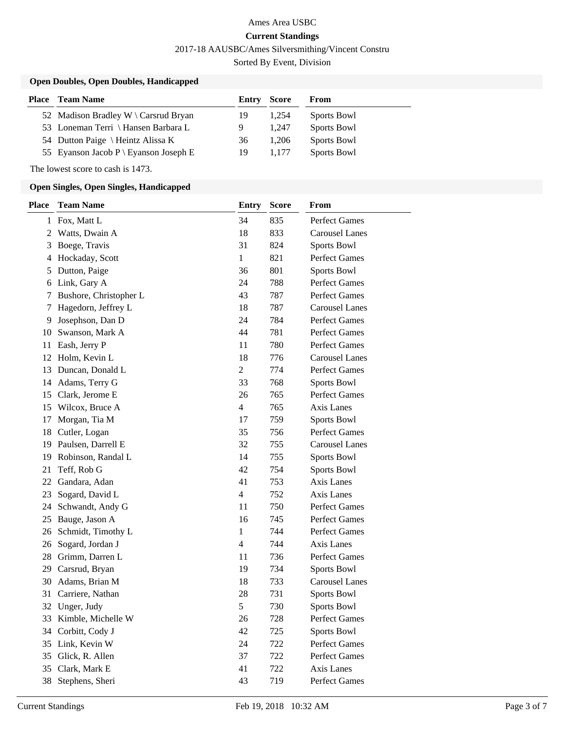2017-18 AAUSBC/Ames Silversmithing/Vincent Constru

Sorted By Event, Division

### **Open Doubles, Open Doubles, Handicapped**

| Place | <b>Team Name</b>                      | <b>Entry Score</b> |       | From        |
|-------|---------------------------------------|--------------------|-------|-------------|
|       | 52 Madison Bradley W \ Carsrud Bryan  | 19                 | 1.254 | Sports Bowl |
|       | 53 Loneman Terri \ Hansen Barbara L   | 9                  | 1.247 | Sports Bowl |
|       | 54 Dutton Paige \ Heintz Alissa K     | 36                 | 1.206 | Sports Bowl |
|       | 55 Eyanson Jacob P \ Eyanson Joseph E | 19                 | 1.177 | Sports Bowl |

The lowest score to cash is 1473.

#### **Open Singles, Open Singles, Handicapped**

| <b>Place</b>   | <b>Team Name</b>       | <b>Entry</b>   | <b>Score</b> | From                  |
|----------------|------------------------|----------------|--------------|-----------------------|
|                | 1 Fox, Matt L          | 34             | 835          | Perfect Games         |
| $\overline{2}$ | Watts, Dwain A         | 18             | 833          | <b>Carousel Lanes</b> |
| 3              | Boege, Travis          | 31             | 824          | Sports Bowl           |
|                | 4 Hockaday, Scott      | $\mathbf{1}$   | 821          | <b>Perfect Games</b>  |
| 5.             | Dutton, Paige          | 36             | 801          | Sports Bowl           |
| 6              | Link, Gary A           | 24             | 788          | Perfect Games         |
| 7              | Bushore, Christopher L | 43             | 787          | <b>Perfect Games</b>  |
| 7              | Hagedorn, Jeffrey L    | 18             | 787          | <b>Carousel Lanes</b> |
| 9.             | Josephson, Dan D       | 24             | 784          | <b>Perfect Games</b>  |
| 10             | Swanson, Mark A        | 44             | 781          | <b>Perfect Games</b>  |
| 11             | Eash, Jerry P          | 11             | 780          | Perfect Games         |
| 12             | Holm, Kevin L          | 18             | 776          | <b>Carousel Lanes</b> |
| 13             | Duncan, Donald L       | $\overline{2}$ | 774          | <b>Perfect Games</b>  |
|                | 14 Adams, Terry G      | 33             | 768          | Sports Bowl           |
| 15             | Clark, Jerome E        | 26             | 765          | Perfect Games         |
| 15             | Wilcox, Bruce A        | 4              | 765          | Axis Lanes            |
| 17             | Morgan, Tia M          | 17             | 759          | Sports Bowl           |
| 18             | Cutler, Logan          | 35             | 756          | <b>Perfect Games</b>  |
| 19             | Paulsen, Darrell E     | 32             | 755          | <b>Carousel Lanes</b> |
| 19             | Robinson, Randal L     | 14             | 755          | Sports Bowl           |
| 21             | Teff, Rob G            | 42             | 754          | Sports Bowl           |
| 22             | Gandara, Adan          | 41             | 753          | Axis Lanes            |
| 23             | Sogard, David L        | $\overline{4}$ | 752          | Axis Lanes            |
| 24             | Schwandt, Andy G       | 11             | 750          | Perfect Games         |
| 25             | Bauge, Jason A         | 16             | 745          | <b>Perfect Games</b>  |
| 26             | Schmidt, Timothy L     | $\mathbf{1}$   | 744          | Perfect Games         |
| 26             | Sogard, Jordan J       | $\overline{4}$ | 744          | Axis Lanes            |
| 28             | Grimm, Darren L        | 11             | 736          | Perfect Games         |
| 29             | Carsrud, Bryan         | 19             | 734          | Sports Bowl           |
| 30             | Adams, Brian M         | 18             | 733          | <b>Carousel Lanes</b> |
| 31             | Carriere, Nathan       | 28             | 731          | Sports Bowl           |
|                | 32 Unger, Judy         | 5              | 730          | Sports Bowl           |
|                | 33 Kimble, Michelle W  | 26             | 728          | Perfect Games         |
|                | 34 Corbitt, Cody J     | 42             | 725          | Sports Bowl           |
| 35             | Link, Kevin W          | 24             | 722          | <b>Perfect Games</b>  |
| 35             | Glick, R. Allen        | 37             | 722          | Perfect Games         |
| 35             | Clark, Mark E          | 41             | 722          | Axis Lanes            |
| 38             | Stephens, Sheri        | 43             | 719          | Perfect Games         |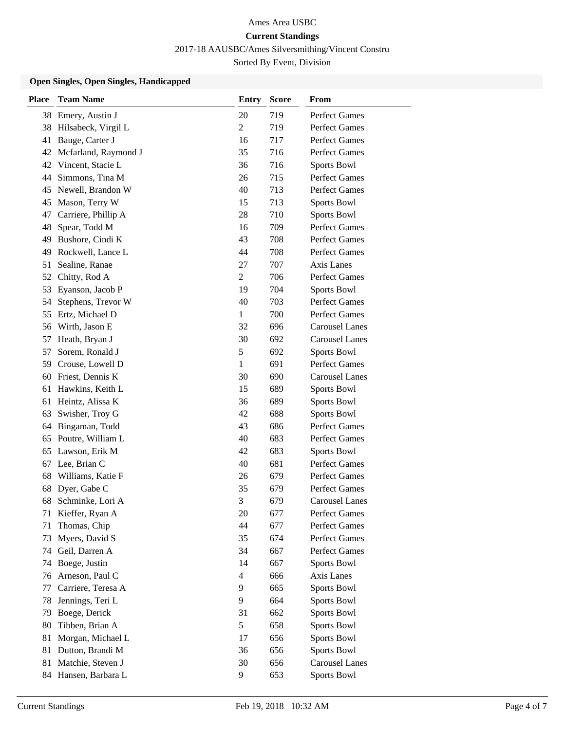2017-18 AAUSBC/Ames Silversmithing/Vincent Constru

Sorted By Event, Division

#### **Open Singles, Open Singles, Handicapped**

| <b>Place</b> | <b>Team Name</b>     | <b>Entry</b>   | <b>Score</b> | From                  |
|--------------|----------------------|----------------|--------------|-----------------------|
| 38           | Emery, Austin J      | 20             | 719          | Perfect Games         |
| 38           | Hilsabeck, Virgil L  | $\overline{2}$ | 719          | <b>Perfect Games</b>  |
| 41           | Bauge, Carter J      | 16             | 717          | <b>Perfect Games</b>  |
| 42           | Mcfarland, Raymond J | 35             | 716          | Perfect Games         |
| 42           | Vincent, Stacie L    | 36             | 716          | <b>Sports Bowl</b>    |
| 44           | Simmons, Tina M      | 26             | 715          | Perfect Games         |
| 45           | Newell, Brandon W    | 40             | 713          | Perfect Games         |
| 45           | Mason, Terry W       | 15             | 713          | Sports Bowl           |
| 47           | Carriere, Phillip A  | 28             | 710          | Sports Bowl           |
| 48           | Spear, Todd M        | 16             | 709          | <b>Perfect Games</b>  |
| 49           | Bushore, Cindi K     | 43             | 708          | <b>Perfect Games</b>  |
| 49           | Rockwell, Lance L    | 44             | 708          | <b>Perfect Games</b>  |
| 51           | Sealine, Ranae       | 27             | 707          | Axis Lanes            |
| 52           | Chitty, Rod A        | $\overline{2}$ | 706          | <b>Perfect Games</b>  |
| 53           | Eyanson, Jacob P     | 19             | 704          | Sports Bowl           |
| 54           | Stephens, Trevor W   | 40             | 703          | <b>Perfect Games</b>  |
| 55           | Ertz, Michael D      | 1              | 700          | Perfect Games         |
| 56           | Wirth, Jason E       | 32             | 696          | <b>Carousel Lanes</b> |
| 57           | Heath, Bryan J       | 30             | 692          | <b>Carousel Lanes</b> |
| 57           | Sorem, Ronald J      | $\mathfrak s$  | 692          | Sports Bowl           |
| 59           | Crouse, Lowell D     | 1              | 691          | Perfect Games         |
| 60           | Friest, Dennis K     | 30             | 690          | <b>Carousel Lanes</b> |
| 61           | Hawkins, Keith L     | 15             | 689          | Sports Bowl           |
| 61           | Heintz, Alissa K     | 36             | 689          | Sports Bowl           |
| 63           | Swisher, Troy G      | 42             | 688          | <b>Sports Bowl</b>    |
| 64           | Bingaman, Todd       | 43             | 686          | <b>Perfect Games</b>  |
| 65           | Poutre, William L    | 40             | 683          | Perfect Games         |
| 65           | Lawson, Erik M       | 42             | 683          | Sports Bowl           |
| 67           | Lee, Brian C         | 40             | 681          | Perfect Games         |
| 68           | Williams, Katie F    | 26             | 679          | <b>Perfect Games</b>  |
| 68           | Dyer, Gabe C         | 35             | 679          | Perfect Games         |
| 68           | Schminke, Lori A     | 3              | 679          | <b>Carousel Lanes</b> |
| 71           | Kieffer, Ryan A      | 20             | 677          | Perfect Games         |
| 71           | Thomas, Chip         | 44             | 677          | Perfect Games         |
| 73           | Myers, David S       | 35             | 674          | Perfect Games         |
| 74           | Geil, Darren A       | 34             | 667          | Perfect Games         |
| 74           | Boege, Justin        | 14             | 667          | Sports Bowl           |
| 76           | Arneson, Paul C      | 4              | 666          | Axis Lanes            |
| 77           | Carriere, Teresa A   | 9              | 665          | Sports Bowl           |
| 78           | Jennings, Teri L     | 9              | 664          | Sports Bowl           |
| 79           | Boege, Derick        | 31             | 662          | Sports Bowl           |
| 80           | Tibben, Brian A      | 5              | 658          | Sports Bowl           |
| 81           | Morgan, Michael L    | 17             | 656          | Sports Bowl           |
| 81           | Dutton, Brandi M     | 36             | 656          | Sports Bowl           |
| 81           | Matchie, Steven J    | 30             | 656          | <b>Carousel Lanes</b> |
| 84           | Hansen, Barbara L    | 9              | 653          | Sports Bowl           |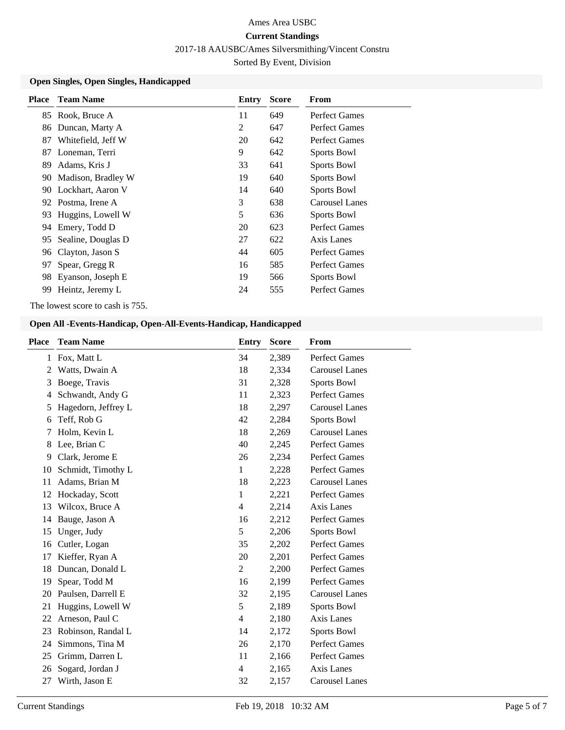2017-18 AAUSBC/Ames Silversmithing/Vincent Constru

Sorted By Event, Division

#### **Open Singles, Open Singles, Handicapped**

| <b>Place</b> | <b>Team Name</b>     | Entry | <b>Score</b> | From                 |
|--------------|----------------------|-------|--------------|----------------------|
|              | 85 Rook, Bruce A     | 11    | 649          | <b>Perfect Games</b> |
| 86           | Duncan, Marty A      | 2     | 647          | Perfect Games        |
| 87           | Whitefield, Jeff W   | 20    | 642          | Perfect Games        |
| 87           | Loneman, Terri       | 9     | 642          | Sports Bowl          |
| 89           | Adams, Kris J        | 33    | 641          | Sports Bowl          |
| 90           | Madison, Bradley W   | 19    | 640          | Sports Bowl          |
|              | 90 Lockhart, Aaron V | 14    | 640          | <b>Sports Bowl</b>   |
|              | 92 Postma, Irene A   | 3     | 638          | Carousel Lanes       |
|              | 93 Huggins, Lowell W | 5     | 636          | Sports Bowl          |
| 94           | Emery, Todd D        | 20    | 623          | Perfect Games        |
| 95.          | Sealine, Douglas D   | 27    | 622          | Axis Lanes           |
| 96           | Clayton, Jason S     | 44    | 605          | Perfect Games        |
| 97           | Spear, Gregg R       | 16    | 585          | <b>Perfect Games</b> |
| 98           | Eyanson, Joseph E    | 19    | 566          | Sports Bowl          |
| 99           | Heintz, Jeremy L     | 24    | 555          | Perfect Games        |

The lowest score to cash is 755.

### **Open All -Events-Handicap, Open-All-Events-Handicap, Handicapped**

| Place        | <b>Team Name</b>    | <b>Entry</b> | <b>Score</b> | From                  |
|--------------|---------------------|--------------|--------------|-----------------------|
| $\mathbf{1}$ | Fox, Matt L         | 34           | 2,389        | <b>Perfect Games</b>  |
| 2            | Watts, Dwain A      | 18           | 2,334        | <b>Carousel Lanes</b> |
| 3            | Boege, Travis       | 31           | 2,328        | <b>Sports Bowl</b>    |
| 4            | Schwandt, Andy G    | 11           | 2,323        | <b>Perfect Games</b>  |
| 5            | Hagedorn, Jeffrey L | 18           | 2,297        | <b>Carousel Lanes</b> |
| 6            | Teff, Rob G         | 42           | 2,284        | Sports Bowl           |
| 7            | Holm, Kevin L       | 18           | 2,269        | <b>Carousel Lanes</b> |
| 8            | Lee, Brian C        | 40           | 2,245        | <b>Perfect Games</b>  |
| 9            | Clark, Jerome E     | 26           | 2,234        | <b>Perfect Games</b>  |
| 10           | Schmidt, Timothy L  | 1            | 2,228        | <b>Perfect Games</b>  |
| 11           | Adams, Brian M      | 18           | 2,223        | <b>Carousel Lanes</b> |
| 12           | Hockaday, Scott     | 1            | 2,221        | <b>Perfect Games</b>  |
| 13           | Wilcox, Bruce A     | 4            | 2,214        | Axis Lanes            |
| 14           | Bauge, Jason A      | 16           | 2,212        | <b>Perfect Games</b>  |
| 15           | Unger, Judy         | 5            | 2,206        | Sports Bowl           |
| 16           | Cutler, Logan       | 35           | 2,202        | <b>Perfect Games</b>  |
| 17           | Kieffer, Ryan A     | 20           | 2,201        | <b>Perfect Games</b>  |
| 18           | Duncan, Donald L    | 2            | 2,200        | <b>Perfect Games</b>  |
| 19           | Spear, Todd M       | 16           | 2,199        | Perfect Games         |
| 20           | Paulsen, Darrell E  | 32           | 2,195        | <b>Carousel Lanes</b> |
| 21           | Huggins, Lowell W   | 5            | 2,189        | Sports Bowl           |
| 22           | Arneson, Paul C     | 4            | 2,180        | Axis Lanes            |
| 23           | Robinson, Randal L  | 14           | 2,172        | Sports Bowl           |
| 24           | Simmons, Tina M     | 26           | 2,170        | <b>Perfect Games</b>  |
| 25           | Grimm, Darren L     | 11           | 2,166        | <b>Perfect Games</b>  |
| 26           | Sogard, Jordan J    | 4            | 2,165        | Axis Lanes            |
| 27           | Wirth, Jason E      | 32           | 2,157        | <b>Carousel Lanes</b> |
|              |                     |              |              |                       |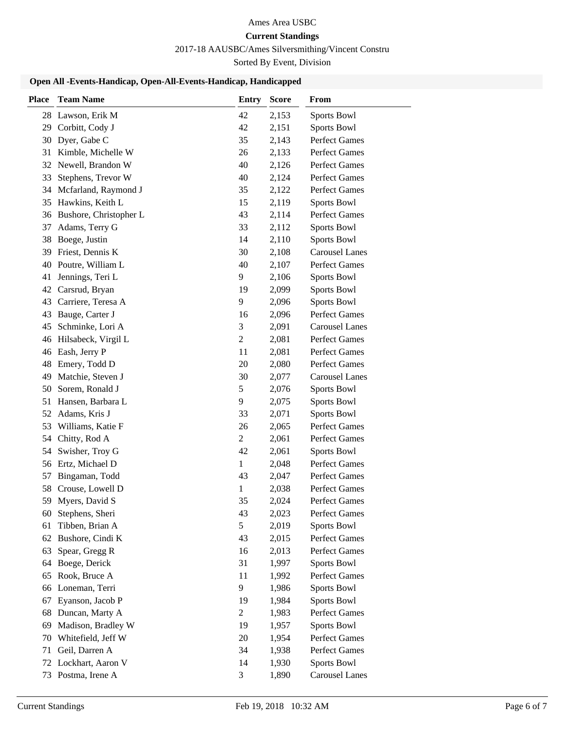## Ames Area USBC

### **Current Standings**

2017-18 AAUSBC/Ames Silversmithing/Vincent Constru

Sorted By Event, Division

### **Open All -Events-Handicap, Open-All-Events-Handicap, Handicapped**

| <b>Place</b> | <b>Team Name</b>       | <b>Entry</b>   | <b>Score</b> | From                  |
|--------------|------------------------|----------------|--------------|-----------------------|
|              | 28 Lawson, Erik M      | 42             | 2,153        | Sports Bowl           |
| 29           | Corbitt, Cody J        | 42             | 2,151        | Sports Bowl           |
| 30           | Dyer, Gabe C           | 35             | 2,143        | <b>Perfect Games</b>  |
| 31           | Kimble, Michelle W     | 26             | 2,133        | <b>Perfect Games</b>  |
| 32           | Newell, Brandon W      | 40             | 2,126        | Perfect Games         |
| 33           | Stephens, Trevor W     | 40             | 2,124        | Perfect Games         |
| 34           | Mcfarland, Raymond J   | 35             | 2,122        | Perfect Games         |
| 35           | Hawkins, Keith L       | 15             | 2,119        | Sports Bowl           |
| 36           | Bushore, Christopher L | 43             | 2,114        | Perfect Games         |
| 37           | Adams, Terry G         | 33             | 2,112        | Sports Bowl           |
| 38           | Boege, Justin          | 14             | 2,110        | Sports Bowl           |
| 39           | Friest, Dennis K       | 30             | 2,108        | <b>Carousel Lanes</b> |
| 40           | Poutre, William L      | 40             | 2,107        | Perfect Games         |
| 41           | Jennings, Teri L       | 9              | 2,106        | Sports Bowl           |
| 42           | Carsrud, Bryan         | 19             | 2,099        | Sports Bowl           |
| 43           | Carriere, Teresa A     | 9              | 2,096        | Sports Bowl           |
| 43           | Bauge, Carter J        | 16             | 2,096        | Perfect Games         |
| 45           | Schminke, Lori A       | 3              | 2,091        | <b>Carousel Lanes</b> |
| 46           | Hilsabeck, Virgil L    | $\overline{2}$ | 2,081        | Perfect Games         |
| 46           | Eash, Jerry P          | 11             | 2,081        | Perfect Games         |
| 48           | Emery, Todd D          | 20             | 2,080        | Perfect Games         |
| 49           | Matchie, Steven J      | 30             | 2,077        | <b>Carousel Lanes</b> |
| 50           | Sorem, Ronald J        | 5              | 2,076        | Sports Bowl           |
| 51           | Hansen, Barbara L      | 9              | 2,075        | Sports Bowl           |
| 52           | Adams, Kris J          | 33             | 2,071        | Sports Bowl           |
| 53           | Williams, Katie F      | 26             | 2,065        | Perfect Games         |
| 54           | Chitty, Rod A          | 2              | 2,061        | Perfect Games         |
| 54           | Swisher, Troy G        | 42             | 2,061        | Sports Bowl           |
| 56           | Ertz, Michael D        | $\mathbf{1}$   | 2,048        | Perfect Games         |
| 57           | Bingaman, Todd         | 43             | 2,047        | Perfect Games         |
| 58           | Crouse, Lowell D       | $\mathbf{1}$   | 2,038        | Perfect Games         |
|              | 59 Myers, David S      | 35             | 2,024        | <b>Perfect Games</b>  |
| 60           | Stephens, Sheri        | 43             | 2,023        | Perfect Games         |
| 61           | Tibben, Brian A        | 5              | 2,019        | Sports Bowl           |
| 62           | Bushore, Cindi K       | 43             | 2,015        | Perfect Games         |
| 63           | Spear, Gregg R         | 16             | 2,013        | Perfect Games         |
| 64           | Boege, Derick          | 31             | 1,997        | Sports Bowl           |
| 65           | Rook, Bruce A          | 11             | 1,992        | Perfect Games         |
| 66           | Loneman, Terri         | 9              | 1,986        | Sports Bowl           |
| 67           | Eyanson, Jacob P       | 19             | 1,984        | Sports Bowl           |
| 68           | Duncan, Marty A        | $\overline{2}$ | 1,983        | Perfect Games         |
| 69           | Madison, Bradley W     | 19             | 1,957        | Sports Bowl           |
| 70           | Whitefield, Jeff W     | 20             | 1,954        | Perfect Games         |
| 71           | Geil, Darren A         | 34             | 1,938        | Perfect Games         |
| 72           | Lockhart, Aaron V      | 14             | 1,930        | Sports Bowl           |
|              | 73 Postma, Irene A     | 3              | 1,890        | <b>Carousel Lanes</b> |